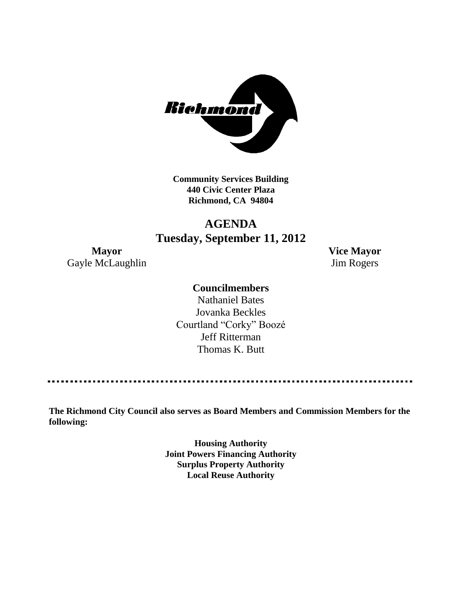

**Community Services Building 440 Civic Center Plaza Richmond, CA 94804**

## **AGENDA Tuesday, September 11, 2012**

Gayle McLaughlin Jim Rogers

**Mayor Vice Mayor**

## **Councilmembers**

Nathaniel Bates Jovanka Beckles Courtland "Corky" Boozé Jeff Ritterman Thomas K. Butt

**The Richmond City Council also serves as Board Members and Commission Members for the following:**

> **Housing Authority Joint Powers Financing Authority Surplus Property Authority Local Reuse Authority**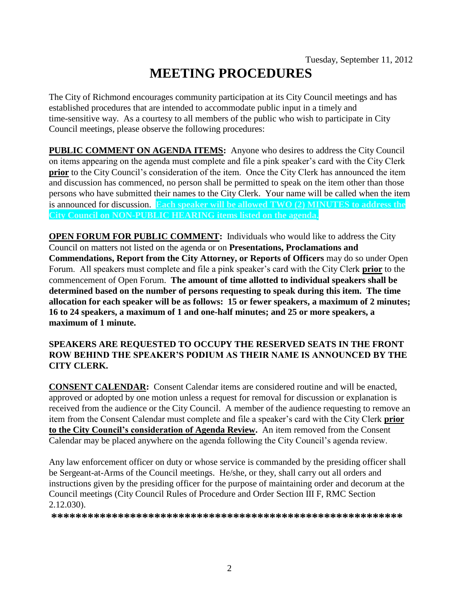# **MEETING PROCEDURES**

The City of Richmond encourages community participation at its City Council meetings and has established procedures that are intended to accommodate public input in a timely and time-sensitive way. As a courtesy to all members of the public who wish to participate in City Council meetings, please observe the following procedures:

**PUBLIC COMMENT ON AGENDA ITEMS:** Anyone who desires to address the City Council on items appearing on the agenda must complete and file a pink speaker's card with the City Clerk **prior** to the City Council's consideration of the item. Once the City Clerk has announced the item and discussion has commenced, no person shall be permitted to speak on the item other than those persons who have submitted their names to the City Clerk. Your name will be called when the item is announced for discussion. **Each speaker will be allowed TWO (2) MINUTES to address the City Council on NON-PUBLIC HEARING items listed on the agenda.**

**OPEN FORUM FOR PUBLIC COMMENT:** Individuals who would like to address the City Council on matters not listed on the agenda or on **Presentations, Proclamations and Commendations, Report from the City Attorney, or Reports of Officers** may do so under Open Forum. All speakers must complete and file a pink speaker's card with the City Clerk **prior** to the commencement of Open Forum. **The amount of time allotted to individual speakers shall be determined based on the number of persons requesting to speak during this item. The time allocation for each speaker will be as follows: 15 or fewer speakers, a maximum of 2 minutes; 16 to 24 speakers, a maximum of 1 and one-half minutes; and 25 or more speakers, a maximum of 1 minute.**

## **SPEAKERS ARE REQUESTED TO OCCUPY THE RESERVED SEATS IN THE FRONT ROW BEHIND THE SPEAKER'S PODIUM AS THEIR NAME IS ANNOUNCED BY THE CITY CLERK.**

**CONSENT CALENDAR:** Consent Calendar items are considered routine and will be enacted, approved or adopted by one motion unless a request for removal for discussion or explanation is received from the audience or the City Council. A member of the audience requesting to remove an item from the Consent Calendar must complete and file a speaker's card with the City Clerk **prior to the City Council's consideration of Agenda Review.** An item removed from the Consent Calendar may be placed anywhere on the agenda following the City Council's agenda review.

Any law enforcement officer on duty or whose service is commanded by the presiding officer shall be Sergeant-at-Arms of the Council meetings. He/she, or they, shall carry out all orders and instructions given by the presiding officer for the purpose of maintaining order and decorum at the Council meetings (City Council Rules of Procedure and Order Section III F, RMC Section 2.12.030).

**\*\*\*\*\*\*\*\*\*\*\*\*\*\*\*\*\*\*\*\*\*\*\*\*\*\*\*\*\*\*\*\*\*\*\*\*\*\*\*\*\*\*\*\*\*\*\*\*\*\*\*\*\*\*\*\*\*\***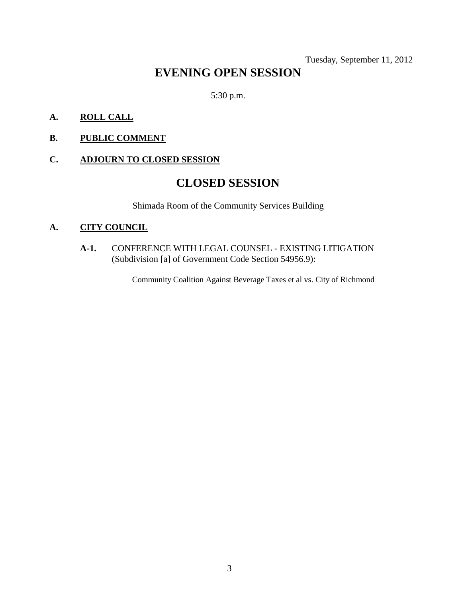Tuesday, September 11, 2012

## **EVENING OPEN SESSION**

5:30 p.m.

## **A. ROLL CALL**

## **B. PUBLIC COMMENT**

## **C. ADJOURN TO CLOSED SESSION**

## **CLOSED SESSION**

Shimada Room of the Community Services Building

#### **A. CITY COUNCIL**

**A-1.** CONFERENCE WITH LEGAL COUNSEL - EXISTING LITIGATION (Subdivision [a] of Government Code Section 54956.9):

Community Coalition Against Beverage Taxes et al vs. City of Richmond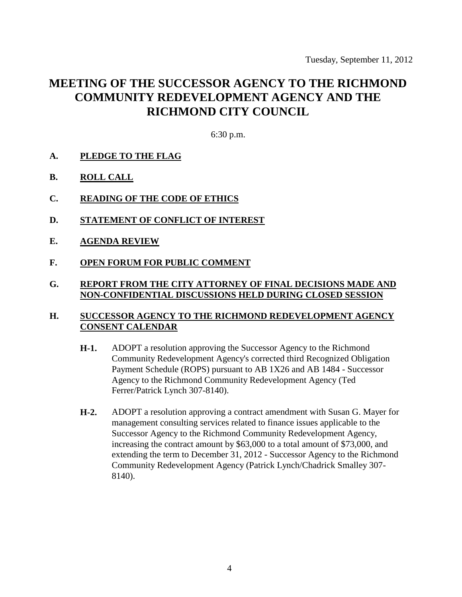## **MEETING OF THE SUCCESSOR AGENCY TO THE RICHMOND COMMUNITY REDEVELOPMENT AGENCY AND THE RICHMOND CITY COUNCIL**

6:30 p.m.

- **A. PLEDGE TO THE FLAG**
- **B. ROLL CALL**
- **C. READING OF THE CODE OF ETHICS**
- **D. STATEMENT OF CONFLICT OF INTEREST**
- **E. AGENDA REVIEW**
- **F. OPEN FORUM FOR PUBLIC COMMENT**

#### **G. REPORT FROM THE CITY ATTORNEY OF FINAL DECISIONS MADE AND NON-CONFIDENTIAL DISCUSSIONS HELD DURING CLOSED SESSION**

#### **H. SUCCESSOR AGENCY TO THE RICHMOND REDEVELOPMENT AGENCY CONSENT CALENDAR**

- **H-1.** ADOPT a resolution approving the Successor Agency to the Richmond Community Redevelopment Agency's corrected third Recognized Obligation Payment Schedule (ROPS) pursuant to AB 1X26 and AB 1484 - Successor Agency to the Richmond Community Redevelopment Agency (Ted Ferrer/Patrick Lynch 307-8140).
- **H-2.** ADOPT a resolution approving a contract amendment with Susan G. Mayer for management consulting services related to finance issues applicable to the Successor Agency to the Richmond Community Redevelopment Agency, increasing the contract amount by \$63,000 to a total amount of \$73,000, and extending the term to December 31, 2012 - Successor Agency to the Richmond Community Redevelopment Agency (Patrick Lynch/Chadrick Smalley 307- 8140).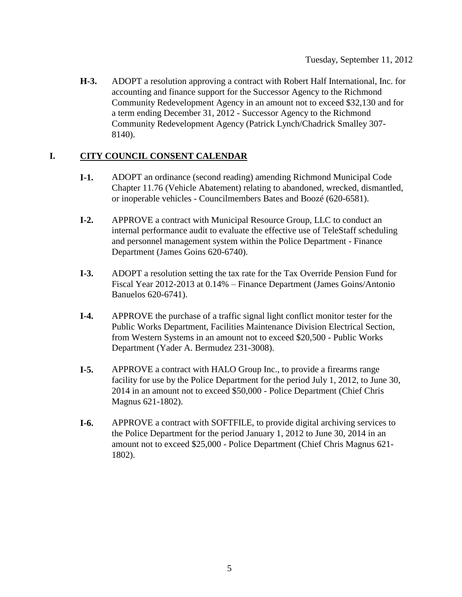**H-3.** ADOPT a resolution approving a contract with Robert Half International, Inc. for accounting and finance support for the Successor Agency to the Richmond Community Redevelopment Agency in an amount not to exceed \$32,130 and for a term ending December 31, 2012 - Successor Agency to the Richmond Community Redevelopment Agency (Patrick Lynch/Chadrick Smalley 307- 8140).

## **I. CITY COUNCIL CONSENT CALENDAR**

- **I-1.** ADOPT an ordinance (second reading) amending Richmond Municipal Code Chapter 11.76 (Vehicle Abatement) relating to abandoned, wrecked, dismantled, or inoperable vehicles - Councilmembers Bates and Boozé (620-6581).
- **I-2.** APPROVE a contract with Municipal Resource Group, LLC to conduct an internal performance audit to evaluate the effective use of TeleStaff scheduling and personnel management system within the Police Department - Finance Department (James Goins 620-6740).
- **I-3.** ADOPT a resolution setting the tax rate for the Tax Override Pension Fund for Fiscal Year 2012-2013 at 0.14% – Finance Department (James Goins/Antonio Banuelos 620-6741).
- **I-4.** APPROVE the purchase of a traffic signal light conflict monitor tester for the Public Works Department, Facilities Maintenance Division Electrical Section, from Western Systems in an amount not to exceed \$20,500 - Public Works Department (Yader A. Bermudez 231-3008).
- **I-5.** APPROVE a contract with HALO Group Inc., to provide a firearms range facility for use by the Police Department for the period July 1, 2012, to June 30, 2014 in an amount not to exceed \$50,000 - Police Department (Chief Chris Magnus 621-1802).
- **I-6.** APPROVE a contract with SOFTFILE, to provide digital archiving services to the Police Department for the period January 1, 2012 to June 30, 2014 in an amount not to exceed \$25,000 - Police Department (Chief Chris Magnus 621- 1802).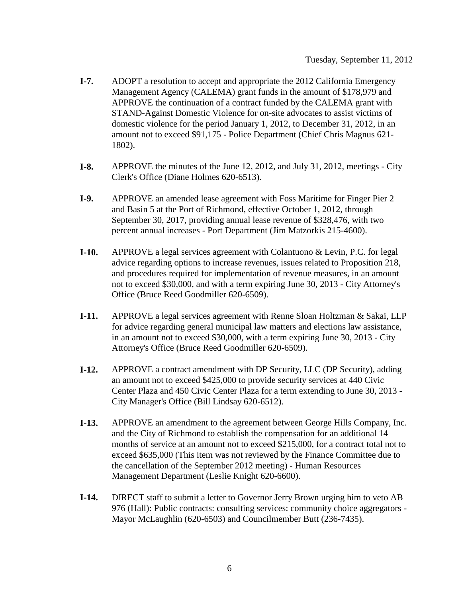- **I-7.** ADOPT a resolution to accept and appropriate the 2012 California Emergency Management Agency (CALEMA) grant funds in the amount of \$178,979 and APPROVE the continuation of a contract funded by the CALEMA grant with STAND-Against Domestic Violence for on-site advocates to assist victims of domestic violence for the period January 1, 2012, to December 31, 2012, in an amount not to exceed \$91,175 - Police Department (Chief Chris Magnus 621- 1802).
- **I-8.** APPROVE the minutes of the June 12, 2012, and July 31, 2012, meetings City Clerk's Office (Diane Holmes 620-6513).
- **I-9.** APPROVE an amended lease agreement with Foss Maritime for Finger Pier 2 and Basin 5 at the Port of Richmond, effective October 1, 2012, through September 30, 2017, providing annual lease revenue of \$328,476, with two percent annual increases - Port Department (Jim Matzorkis 215-4600).
- **I-10.** APPROVE a legal services agreement with Colantuono & Levin, P.C. for legal advice regarding options to increase revenues, issues related to Proposition 218, and procedures required for implementation of revenue measures, in an amount not to exceed \$30,000, and with a term expiring June 30, 2013 - City Attorney's Office (Bruce Reed Goodmiller 620-6509).
- **I-11.** APPROVE a legal services agreement with Renne Sloan Holtzman & Sakai, LLP for advice regarding general municipal law matters and elections law assistance, in an amount not to exceed \$30,000, with a term expiring June 30, 2013 - City Attorney's Office (Bruce Reed Goodmiller 620-6509).
- **I-12.** APPROVE a contract amendment with DP Security, LLC (DP Security), adding an amount not to exceed \$425,000 to provide security services at 440 Civic Center Plaza and 450 Civic Center Plaza for a term extending to June 30, 2013 - City Manager's Office (Bill Lindsay 620-6512).
- **I-13.** APPROVE an amendment to the agreement between George Hills Company, Inc. and the City of Richmond to establish the compensation for an additional 14 months of service at an amount not to exceed \$215,000, for a contract total not to exceed \$635,000 (This item was not reviewed by the Finance Committee due to the cancellation of the September 2012 meeting) - Human Resources Management Department (Leslie Knight 620-6600).
- **I-14.** DIRECT staff to submit a letter to Governor Jerry Brown urging him to veto AB 976 (Hall): Public contracts: consulting services: community choice aggregators - Mayor McLaughlin (620-6503) and Councilmember Butt (236-7435).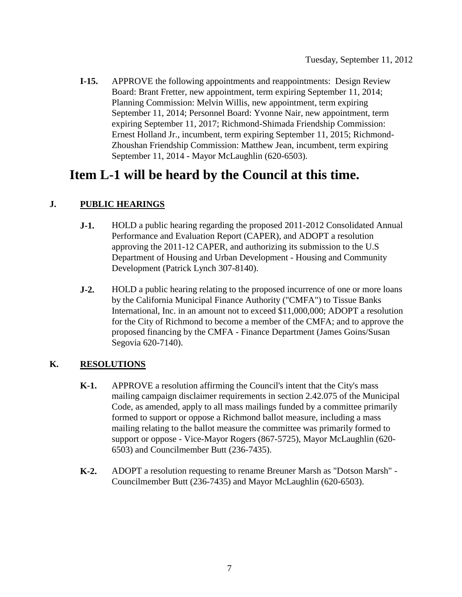**I-15.** APPROVE the following appointments and reappointments: Design Review Board: Brant Fretter, new appointment, term expiring September 11, 2014; Planning Commission: Melvin Willis, new appointment, term expiring September 11, 2014; Personnel Board: Yvonne Nair, new appointment, term expiring September 11, 2017; Richmond-Shimada Friendship Commission: Ernest Holland Jr., incumbent, term expiring September 11, 2015; Richmond-Zhoushan Friendship Commission: Matthew Jean, incumbent, term expiring September 11, 2014 - Mayor McLaughlin (620-6503).

## **Item L-1 will be heard by the Council at this time.**

## **J. PUBLIC HEARINGS**

- **J-1.** HOLD a public hearing regarding the proposed 2011-2012 Consolidated Annual Performance and Evaluation Report (CAPER), and ADOPT a resolution approving the 2011-12 CAPER, and authorizing its submission to the U.S Department of Housing and Urban Development - Housing and Community Development (Patrick Lynch 307-8140).
- **J-2.** HOLD a public hearing relating to the proposed incurrence of one or more loans by the California Municipal Finance Authority ("CMFA") to Tissue Banks International, Inc. in an amount not to exceed \$11,000,000; ADOPT a resolution for the City of Richmond to become a member of the CMFA; and to approve the proposed financing by the CMFA - Finance Department (James Goins/Susan Segovia 620-7140).

## **K. RESOLUTIONS**

- **K-1.** APPROVE a resolution affirming the Council's intent that the City's mass mailing campaign disclaimer requirements in section 2.42.075 of the Municipal Code, as amended, apply to all mass mailings funded by a committee primarily formed to support or oppose a Richmond ballot measure, including a mass mailing relating to the ballot measure the committee was primarily formed to support or oppose - Vice-Mayor Rogers (867-5725), Mayor McLaughlin (620- 6503) and Councilmember Butt (236-7435).
- **K-2.** ADOPT a resolution requesting to rename Breuner Marsh as "Dotson Marsh" Councilmember Butt (236-7435) and Mayor McLaughlin (620-6503).